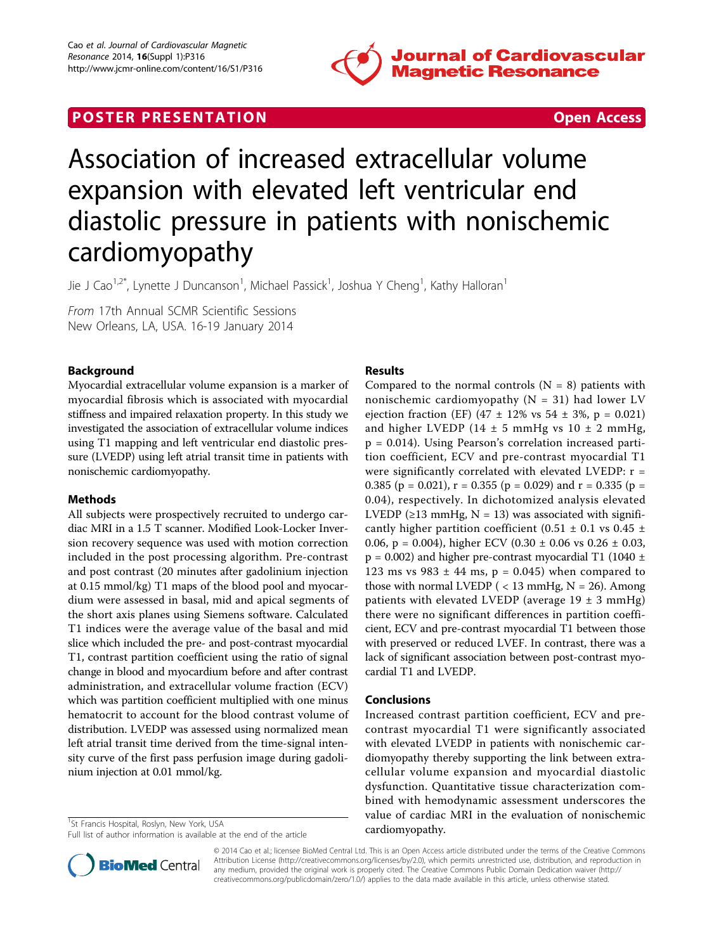

# **POSTER PRESENTATION CONSUMING THE SECOND CONSUMING THE SECOND CONSUMING THE SECOND CONSUMING THE SECOND CONSUMING THE SECOND CONSUMING THE SECOND CONSUMING THE SECOND CONSUMING THE SECOND CONSUMING THE SECOND CONSUMING**



# Association of increased extracellular volume expansion with elevated left ventricular end diastolic pressure in patients with nonischemic cardiomyopathy

Jie J Cao<sup>1,2\*</sup>, Lynette J Duncanson<sup>1</sup>, Michael Passick<sup>1</sup>, Joshua Y Cheng<sup>1</sup>, Kathy Halloran<sup>1</sup>

From 17th Annual SCMR Scientific Sessions New Orleans, LA, USA. 16-19 January 2014

## Background

Myocardial extracellular volume expansion is a marker of myocardial fibrosis which is associated with myocardial stiffness and impaired relaxation property. In this study we investigated the association of extracellular volume indices using T1 mapping and left ventricular end diastolic pressure (LVEDP) using left atrial transit time in patients with nonischemic cardiomyopathy.

#### Methods

All subjects were prospectively recruited to undergo cardiac MRI in a 1.5 T scanner. Modified Look-Locker Inversion recovery sequence was used with motion correction included in the post processing algorithm. Pre-contrast and post contrast (20 minutes after gadolinium injection at 0.15 mmol/kg) T1 maps of the blood pool and myocardium were assessed in basal, mid and apical segments of the short axis planes using Siemens software. Calculated T1 indices were the average value of the basal and mid slice which included the pre- and post-contrast myocardial T1, contrast partition coefficient using the ratio of signal change in blood and myocardium before and after contrast administration, and extracellular volume fraction (ECV) which was partition coefficient multiplied with one minus hematocrit to account for the blood contrast volume of distribution. LVEDP was assessed using normalized mean left atrial transit time derived from the time-signal intensity curve of the first pass perfusion image during gadolinium injection at 0.01 mmol/kg.

<sup>1</sup>St Francis Hospital, Roslyn, New York, USA

#### Results

Compared to the normal controls  $(N = 8)$  patients with nonischemic cardiomyopathy ( $N = 31$ ) had lower LV ejection fraction (EF) (47  $\pm$  12% vs 54  $\pm$  3%, p = 0.021) and higher LVEDP (14  $\pm$  5 mmHg vs 10  $\pm$  2 mmHg, p = 0.014). Using Pearson's correlation increased partition coefficient, ECV and pre-contrast myocardial T1 were significantly correlated with elevated LVEDP:  $r =$ 0.385 (p = 0.021), r = 0.355 (p = 0.029) and r = 0.335 (p = 0.04), respectively. In dichotomized analysis elevated LVEDP ( $\geq$ 13 mmHg, N = 13) was associated with significantly higher partition coefficient  $(0.51 \pm 0.1 \text{ vs } 0.45 \pm 1)$ 0.06, p = 0.004), higher ECV (0.30  $\pm$  0.06 vs 0.26  $\pm$  0.03,  $p = 0.002$ ) and higher pre-contrast myocardial T1 (1040 ± 123 ms vs 983  $\pm$  44 ms, p = 0.045) when compared to those with normal LVEDP  $($  < 13 mmHg, N = 26). Among patients with elevated LVEDP (average  $19 \pm 3$  mmHg) there were no significant differences in partition coefficient, ECV and pre-contrast myocardial T1 between those with preserved or reduced LVEF. In contrast, there was a lack of significant association between post-contrast myocardial T1 and LVEDP.

#### Conclusions

Increased contrast partition coefficient, ECV and precontrast myocardial T1 were significantly associated with elevated LVEDP in patients with nonischemic cardiomyopathy thereby supporting the link between extracellular volume expansion and myocardial diastolic dysfunction. Quantitative tissue characterization combined with hemodynamic assessment underscores the value of cardiac MRI in the evaluation of nonischemic



© 2014 Cao et al.; licensee BioMed Central Ltd. This is an Open Access article distributed under the terms of the Creative Commons Attribution License [\(http://creativecommons.org/licenses/by/2.0](http://creativecommons.org/licenses/by/2.0)), which permits unrestricted use, distribution, and reproduction in any medium, provided the original work is properly cited. The Creative Commons Public Domain Dedication waiver [\(http://](http://creativecommons.org/publicdomain/zero/1.0/) [creativecommons.org/publicdomain/zero/1.0/](http://creativecommons.org/publicdomain/zero/1.0/)) applies to the data made available in this article, unless otherwise stated.

<sup>&</sup>lt;sup>1</sup>St Francis Hospital, Roslyn, New York, USA<br>Full list of author information is available at the end of the article **cardiomyopathy.**